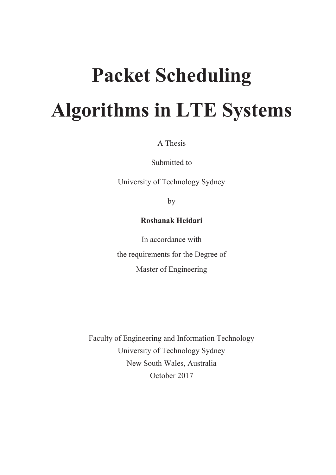# **Packet Scheduling Algorithms in LTE Systems**

A Thesis

Submitted to

University of Technology Sydney

by

#### **Roshanak Heidari**

In accordance with the requirements for the Degree of Master of Engineering

Faculty of Engineering and Information Technology University of Technology Sydney New South Wales, Australia October 2017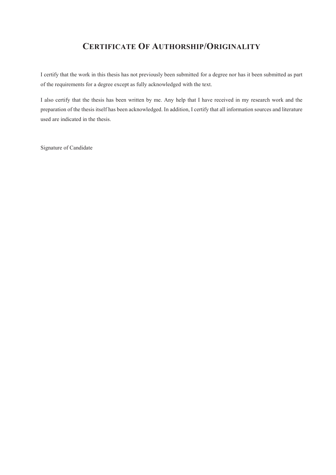#### **CERTIFICATE OF AUTHORSHIP/ORIGINALITY**

I certify that the work in this thesis has not previously been submitted for a degree nor has it been submitted as part of the requirements for a degree except as fully acknowledged with the text.

I also certify that the thesis has been written by me. Any help that I have received in my research work and the preparation of the thesis itself has been acknowledged. In addition, I certify that all information sources and literature used are indicated in the thesis.

Signature of Candidate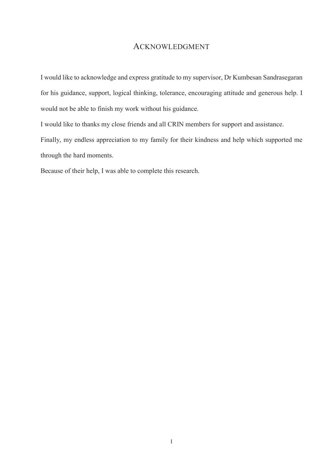#### ACKNOWLEDGMENT

I would like to acknowledge and express gratitude to my supervisor, Dr Kumbesan Sandrasegaran for his guidance, support, logical thinking, tolerance, encouraging attitude and generous help. I would not be able to finish my work without his guidance.

I would like to thanks my close friends and all CRIN members for support and assistance.

Finally, my endless appreciation to my family for their kindness and help which supported me through the hard moments.

Because of their help, I was able to complete this research.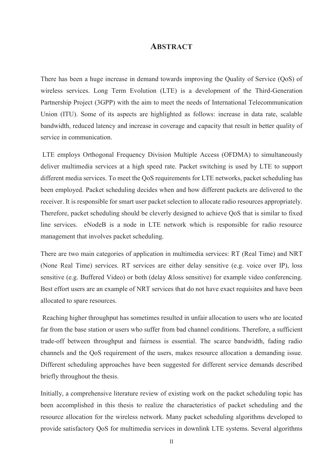#### **ABSTRACT**

There has been a huge increase in demand towards improving the Quality of Service (QoS) of wireless services. Long Term Evolution (LTE) is a development of the Third-Generation Partnership Project (3GPP) with the aim to meet the needs of International Telecommunication Union (ITU). Some of its aspects are highlighted as follows: increase in data rate, scalable bandwidth, reduced latency and increase in coverage and capacity that result in better quality of service in communication.

 LTE employs Orthogonal Frequency Division Multiple Access (OFDMA) to simultaneously deliver multimedia services at a high speed rate. Packet switching is used by LTE to support different media services. To meet the QoS requirements for LTE networks, packet scheduling has been employed. Packet scheduling decides when and how different packets are delivered to the receiver. It is responsible for smart user packet selection to allocate radio resources appropriately. Therefore, packet scheduling should be cleverly designed to achieve QoS that is similar to fixed line services. eNodeB is a node in LTE network which is responsible for radio resource management that involves packet scheduling.

There are two main categories of application in multimedia services: RT (Real Time) and NRT (None Real Time) services. RT services are either delay sensitive (e.g. voice over IP), loss sensitive (e.g. Buffered Video) or both (delay &loss sensitive) for example video conferencing. Best effort users are an example of NRT services that do not have exact requisites and have been allocated to spare resources.

 Reaching higher throughput has sometimes resulted in unfair allocation to users who are located far from the base station or users who suffer from bad channel conditions. Therefore, a sufficient trade-off between throughput and fairness is essential. The scarce bandwidth, fading radio channels and the QoS requirement of the users, makes resource allocation a demanding issue. Different scheduling approaches have been suggested for different service demands described briefly throughout the thesis.

Initially, a comprehensive literature review of existing work on the packet scheduling topic has been accomplished in this thesis to realize the characteristics of packet scheduling and the resource allocation for the wireless network. Many packet scheduling algorithms developed to provide satisfactory QoS for multimedia services in downlink LTE systems. Several algorithms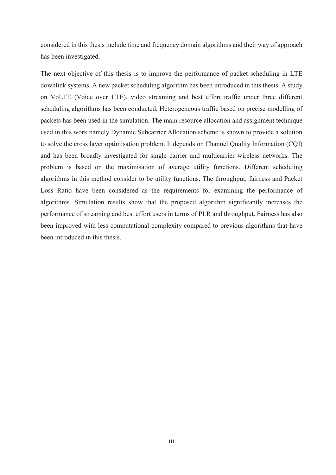considered in this thesis include time and frequency domain algorithms and their way of approach has been investigated.

The next objective of this thesis is to improve the performance of packet scheduling in LTE downlink systems. A new packet scheduling algorithm has been introduced in this thesis. A study on VoLTE (Voice over LTE), video streaming and best effort traffic under three different scheduling algorithms has been conducted. Heterogeneous traffic based on precise modelling of packets has been used in the simulation. The main resource allocation and assignment technique used in this work namely Dynamic Subcarrier Allocation scheme is shown to provide a solution to solve the cross layer optimisation problem. It depends on Channel Quality Information (CQI) and has been broadly investigated for single carrier and multicarrier wireless networks. The problem is based on the maximisation of average utility functions. Different scheduling algorithms in this method consider to be utility functions. The throughput, fairness and Packet Loss Ratio have been considered as the requirements for examining the performance of algorithms. Simulation results show that the proposed algorithm significantly increases the performance of streaming and best effort users in terms of PLR and throughput. Fairness has also been improved with less computational complexity compared to previous algorithms that have been introduced in this thesis.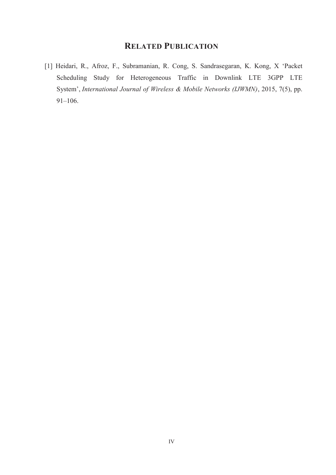#### **RELATED PUBLICATION**

[1] Heidari, R., Afroz, F., Subramanian, R. Cong, S. Sandrasegaran, K. Kong, X 'Packet Scheduling Study for Heterogeneous Traffic in Downlink LTE 3GPP LTE System', *International Journal of Wireless & Mobile Networks (IJWMN)*, 2015, 7(5), pp. 91–106.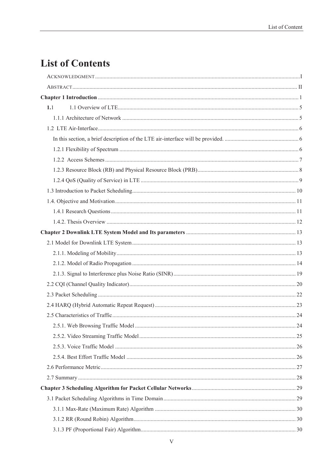## **List of Contents**

| 1.1 |  |
|-----|--|
|     |  |
|     |  |
|     |  |
|     |  |
|     |  |
|     |  |
|     |  |
|     |  |
|     |  |
|     |  |
|     |  |
|     |  |
|     |  |
|     |  |
|     |  |
|     |  |
|     |  |
|     |  |
|     |  |
|     |  |
|     |  |
|     |  |
|     |  |
|     |  |
|     |  |
|     |  |
|     |  |
|     |  |
|     |  |
|     |  |
|     |  |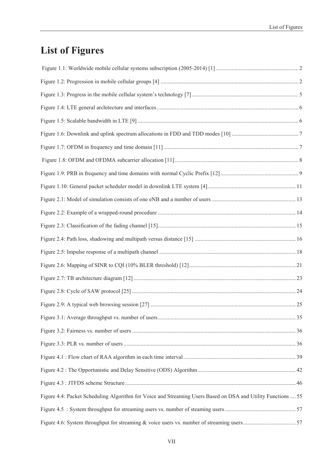## **List of Figures**

| Figure 4.4: Packet Scheduling Algorithm for Voice and Streaming Users Based on DSA and Utility Functions  55 |  |
|--------------------------------------------------------------------------------------------------------------|--|
|                                                                                                              |  |
|                                                                                                              |  |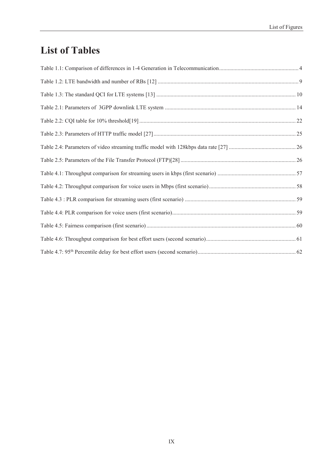### **List of Tables**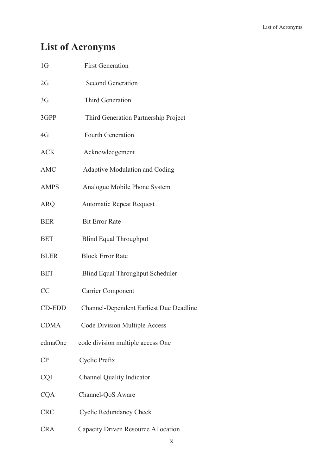# **List of Acronyms**

| 1 <sub>G</sub> | <b>First Generation</b>                        |
|----------------|------------------------------------------------|
| $2{\rm G}$     | <b>Second Generation</b>                       |
| 3G             | <b>Third Generation</b>                        |
| 3GPP           | Third Generation Partnership Project           |
| 4G             | Fourth Generation                              |
| <b>ACK</b>     | Acknowledgement                                |
| <b>AMC</b>     | <b>Adaptive Modulation and Coding</b>          |
| <b>AMPS</b>    | Analogue Mobile Phone System                   |
| ARQ            | <b>Automatic Repeat Request</b>                |
| <b>BER</b>     | <b>Bit Error Rate</b>                          |
| <b>BET</b>     | <b>Blind Equal Throughput</b>                  |
| <b>BLER</b>    | <b>Block Error Rate</b>                        |
| <b>BET</b>     | <b>Blind Equal Throughput Scheduler</b>        |
| CC             | <b>Carrier Component</b>                       |
| <b>CD-EDD</b>  | <b>Channel-Dependent Earliest Due Deadline</b> |
| <b>CDMA</b>    | <b>Code Division Multiple Access</b>           |
| cdmaOne        | code division multiple access One              |
| СP             | Cyclic Prefix                                  |
| CQI            | <b>Channel Quality Indicator</b>               |
| <b>CQA</b>     | Channel-QoS Aware                              |
| <b>CRC</b>     | <b>Cyclic Redundancy Check</b>                 |
| <b>CRA</b>     | Capacity Driven Resource Allocation            |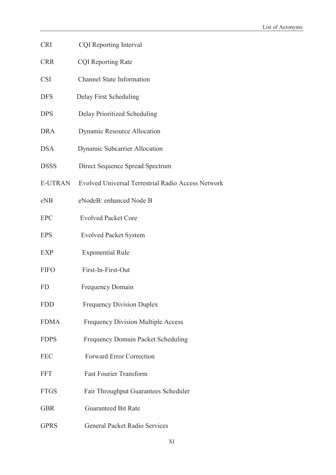- CRI CQI Reporting Interval
- CRR CQI Reporting Rate
- CSI Channel State Information
- DFS Delay First Scheduling
- DPS Delay Prioritized Scheduling
- DRA Dynamic Resource Allocation
- DSA Dynamic Subcarrier Allocation
- DSSS Direct Sequence Spread Spectrum
- E-UTRAN Evolved Universal Terrestrial Radio Access Network
- eNB eNodeB: enhanced Node B
- EPC Evolved Packet Core
- EPS Evolved Packet System
- EXP Exponential Rule
- FIFO First-In-First-Out
- FD Frequency Domain
- FDD Frequency Division Duplex
- FDMA Frequency Division Multiple Access
- FDPS Frequency Domain Packet Scheduling
- FEC Forward Error Correction
- FFT Fast Fourier Transform
- FTGS Fair Throughput Guarantees Scheduler
- GBR Guaranteed Bit Rate
- GPRS General Packet Radio Services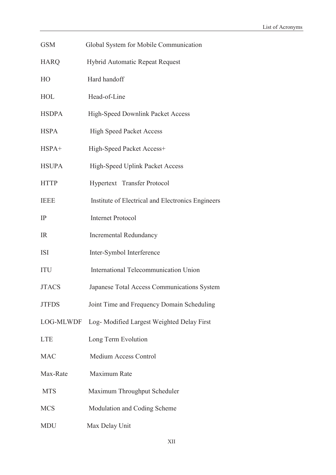| <b>GSM</b>   | Global System for Mobile Communication            |
|--------------|---------------------------------------------------|
| <b>HARQ</b>  | <b>Hybrid Automatic Repeat Request</b>            |
| HO           | Hard handoff                                      |
| <b>HOL</b>   | Head-of-Line                                      |
| <b>HSDPA</b> | High-Speed Downlink Packet Access                 |
| <b>HSPA</b>  | <b>High Speed Packet Access</b>                   |
| $HSPA+$      | High-Speed Packet Access+                         |
| <b>HSUPA</b> | High-Speed Uplink Packet Access                   |
| <b>HTTP</b>  | Hypertext Transfer Protocol                       |
| <b>IEEE</b>  | Institute of Electrical and Electronics Engineers |
| IP           | <b>Internet Protocol</b>                          |
| <b>IR</b>    | <b>Incremental Redundancy</b>                     |
| <b>ISI</b>   | Inter-Symbol Interference                         |
| <b>ITU</b>   | International Telecommunication Union             |
| <b>JTACS</b> | Japanese Total Access Communications System       |
| <b>JTFDS</b> | Joint Time and Frequency Domain Scheduling        |
| LOG-MLWDF    | Log- Modified Largest Weighted Delay First        |
| <b>LTE</b>   | Long Term Evolution                               |
| <b>MAC</b>   | Medium Access Control                             |
| Max-Rate     | Maximum Rate                                      |
| <b>MTS</b>   | Maximum Throughput Scheduler                      |
| <b>MCS</b>   | Modulation and Coding Scheme                      |
| <b>MDU</b>   | Max Delay Unit                                    |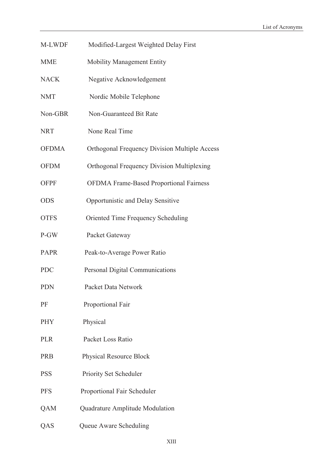- M-LWDF Modified-Largest Weighted Delay First
- MME Mobility Management Entity
- NACK Negative Acknowledgement
- NMT Nordic Mobile Telephone
- Non-GBR Non-Guaranteed Bit Rate
- NRT None Real Time
- OFDMA Orthogonal Frequency Division Multiple Access
- OFDM Orthogonal Frequency Division Multiplexing
- OFPF OFDMA Frame-Based Proportional Fairness
- ODS Opportunistic and Delay Sensitive
- OTFS Oriented Time Frequency Scheduling
- P-GW Packet Gateway
- PAPR Peak-to-Average Power Ratio
- PDC Personal Digital Communications
- PDN Packet Data Network
- PF Proportional Fair
- PHY Physical
- PLR Packet Loss Ratio
- PRB Physical Resource Block
- PSS Priority Set Scheduler
- PFS Proportional Fair Scheduler
- QAM Quadrature Amplitude Modulation
- QAS Queue Aware Scheduling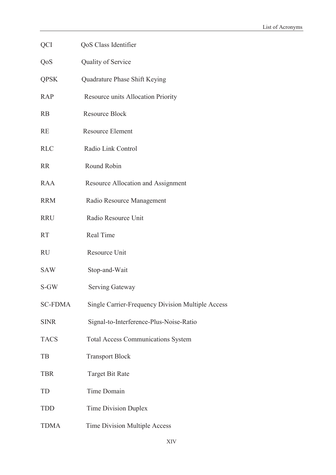| QCI            | QoS Class Identifier                              |
|----------------|---------------------------------------------------|
| QoS            | Quality of Service                                |
| <b>QPSK</b>    | Quadrature Phase Shift Keying                     |
| <b>RAP</b>     | Resource units Allocation Priority                |
| RB             | <b>Resource Block</b>                             |
| <b>RE</b>      | <b>Resource Element</b>                           |
| <b>RLC</b>     | Radio Link Control                                |
| <b>RR</b>      | Round Robin                                       |
| <b>RAA</b>     | Resource Allocation and Assignment                |
| <b>RRM</b>     | Radio Resource Management                         |
| <b>RRU</b>     | Radio Resource Unit                               |
| <b>RT</b>      | Real Time                                         |
| <b>RU</b>      | Resource Unit                                     |
| <b>SAW</b>     | Stop-and-Wait                                     |
| S-GW           | Serving Gateway                                   |
| <b>SC-FDMA</b> | Single Carrier-Frequency Division Multiple Access |
| <b>SINR</b>    | Signal-to-Interference-Plus-Noise-Ratio           |
| <b>TACS</b>    | <b>Total Access Communications System</b>         |
| TB             | <b>Transport Block</b>                            |
| <b>TBR</b>     | <b>Target Bit Rate</b>                            |
| TD             | Time Domain                                       |
| <b>TDD</b>     | <b>Time Division Duplex</b>                       |
| <b>TDMA</b>    | Time Division Multiple Access                     |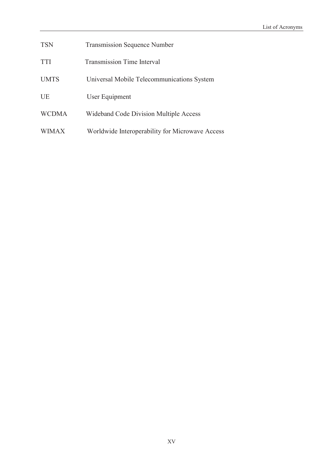| <b>TSN</b> | <b>Transmission Sequence Number</b> |
|------------|-------------------------------------|
|------------|-------------------------------------|

- TTI Transmission Time Interval
- UMTS Universal Mobile Telecommunications System
- UE User Equipment
- WCDMA Wideband Code Division Multiple Access
- WIMAX Worldwide Interoperability for Microwave Access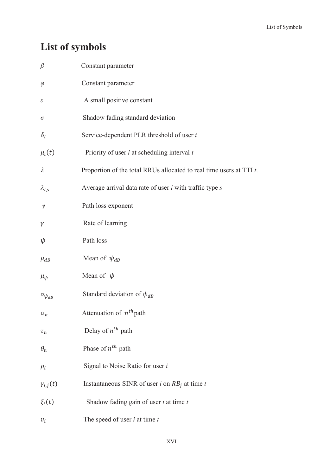# **List of symbols**

| $\beta$              | Constant parameter                                                     |
|----------------------|------------------------------------------------------------------------|
| $\varphi$            | Constant parameter                                                     |
| ε                    | A small positive constant                                              |
| σ                    | Shadow fading standard deviation                                       |
| $\delta_i$           | Service-dependent PLR threshold of user i                              |
| $\mu_i(t)$           | Priority of user $i$ at scheduling interval $t$                        |
| $\lambda$            | Proportion of the total RRUs allocated to real time users at TTI $t$ . |
| $\lambda_{i,s}$      | Average arrival data rate of user $i$ with traffic type $s$            |
| $\gamma$             | Path loss exponent                                                     |
| γ                    | Rate of learning                                                       |
| ψ                    | Path loss                                                              |
| $\mu_{dB}$           | Mean of $\psi_{dB}$                                                    |
| $\mu_{\psi}$         | Mean of $\psi$                                                         |
| $\sigma_{\psi_{dB}}$ | Standard deviation of $\psi_{dB}$                                      |
| $\alpha_n$           | Attenuation of $n^{th}$ path                                           |
| $\tau_n$             | Delay of $n^{th}$ path                                                 |
| $\theta_n$           | Phase of $n^{th}$ path                                                 |
| $\rho_i$             | Signal to Noise Ratio for user i                                       |
| $\gamma_{i,j}(t)$    | Instantaneous SINR of user <i>i</i> on $RB_j$ at time <i>t</i>         |
| $\xi_i(t)$           | Shadow fading gain of user $i$ at time $t$                             |
| $v_i$                | The speed of user $i$ at time $t$                                      |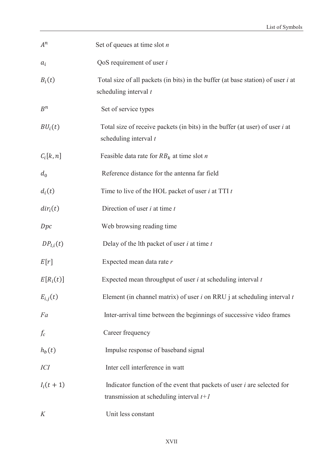| $A^n$               | Set of queues at time slot $n$                                                                                         |
|---------------------|------------------------------------------------------------------------------------------------------------------------|
| $a_i$               | QoS requirement of user $i$                                                                                            |
| $B_i(t)$            | Total size of all packets (in bits) in the buffer (at base station) of user <i>i</i> at<br>scheduling interval t       |
| $B^n$               | Set of service types                                                                                                   |
| BU <sub>i</sub> (t) | Total size of receive packets (in bits) in the buffer (at user) of user <i>i</i> at<br>scheduling interval t           |
| $C_i[k,n]$          | Feasible data rate for $RB_k$ at time slot <i>n</i>                                                                    |
| $d_0$               | Reference distance for the antenna far field                                                                           |
| $d_i(t)$            | Time to live of the HOL packet of user $i$ at TTI $t$                                                                  |
| $dir_i(t)$          | Direction of user $i$ at time $t$                                                                                      |
| Dpc                 | Web browsing reading time                                                                                              |
| $DP_{l,i}(t)$       | Delay of the lth packet of user $i$ at time $t$                                                                        |
| E[r]                | Expected mean data rate r                                                                                              |
| $E[R_i(t)]$         | Expected mean throughput of user $i$ at scheduling interval $t$                                                        |
| $E_{i,j}(t)$        | Element (in channel matrix) of user $i$ on RRU j at scheduling interval $t$                                            |
| Fa                  | Inter-arrival time between the beginnings of successive video frames                                                   |
| $f_c$               | Career frequency                                                                                                       |
| $h_b(t)$            | Impulse response of baseband signal                                                                                    |
| <i>ICI</i>          | Inter cell interference in watt                                                                                        |
| $I_i(t + 1)$        | Indicator function of the event that packets of user $i$ are selected for<br>transmission at scheduling interval $t+1$ |
| K                   | Unit less constant                                                                                                     |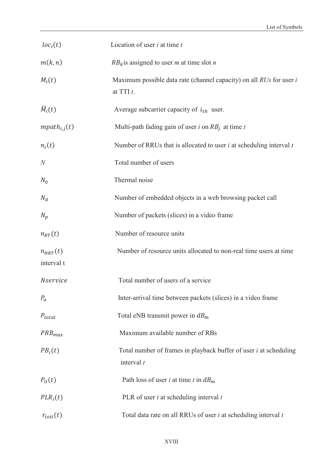| loc <sub>i</sub> (t)       | Location of user $i$ at time $t$                                                         |
|----------------------------|------------------------------------------------------------------------------------------|
| m(k,n)                     | $RB_k$ is assigned to user <i>m</i> at time slot <i>n</i>                                |
| $M_i(t)$                   | Maximum possible data rate (channel capacity) on all $RUs$ for user i<br>at TTI $t$ .    |
| $\overline{M}_i(t)$        | Average subcarrier capacity of $i_{th}$ user.                                            |
| $mpath_{i,j}(t)$           | Multi-path fading gain of user i on $RB_i$ at time t                                     |
| $n_i(t)$                   | Number of RRUs that is allocated to user $i$ at scheduling interval $t$                  |
| $\overline{N}$             | Total number of users                                                                    |
| $N_0$                      | Thermal noise                                                                            |
| $N_d$                      | Number of embedded objects in a web browsing packet call                                 |
| $N_p$                      | Number of packets (slices) in a video frame                                              |
| $n_{RT}(t)$                | Number of resource units                                                                 |
| $n_{NRT}(t)$<br>interval t | Number of resource units allocated to non-real time users at time                        |
| <b>Nservice</b>            | Total number of users of a service                                                       |
| $P_a$                      | Inter-arrival time between packets (slices) in a video frame                             |
| $P_{total}$                | Total eNB transmit power in $dB_m$                                                       |
| $PRB_{max}$                | Maximum available number of RBs                                                          |
| $PB_i(t)$                  | Total number of frames in playback buffer of user <i>i</i> at scheduling<br>interval $t$ |
| $P_{li}(t)$                | Path loss of user <i>i</i> at time <i>t</i> in $dB_m$                                    |
| $PLR_i(t)$                 | PLR of user $i$ at scheduling interval $t$                                               |
| $r_{toti}(t)$              | Total data rate on all RRUs of user <i>i</i> at scheduling interval <i>t</i>             |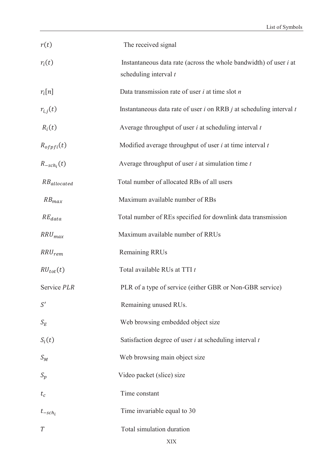| r(t)             | The received signal                                                                                 |
|------------------|-----------------------------------------------------------------------------------------------------|
| $r_i(t)$         | Instantaneous data rate (across the whole bandwidth) of user <i>i</i> at<br>scheduling interval $t$ |
| $r_i[n]$         | Data transmission rate of user $i$ at time slot $n$                                                 |
| $r_{i,j}(t)$     | Instantaneous data rate of user $i$ on RRB $j$ at scheduling interval $t$                           |
| $R_i(t)$         | Average throughput of user $i$ at scheduling interval $t$                                           |
| $R_{offi}(t)$    | Modified average throughput of user $i$ at time interval $t$                                        |
| $R_{-sch_i}(t)$  | Average throughput of user $i$ at simulation time $t$                                               |
| $RB_{allocated}$ | Total number of allocated RBs of all users                                                          |
| $RB_{max}$       | Maximum available number of RBs                                                                     |
| $RE_{data}$      | Total number of REs specified for downlink data transmission                                        |
| $RRU_{max}$      | Maximum available number of RRUs                                                                    |
| $RRU_{rem}$      | <b>Remaining RRUs</b>                                                                               |
| $RU_{tot}(t)$    | Total available RUs at TTI t                                                                        |
| Service PLR      | PLR of a type of service (either GBR or Non-GBR service)                                            |
| S'               | Remaining unused RUs.                                                                               |
| $S_E$            | Web browsing embedded object size                                                                   |
| $S_i(t)$         | Satisfaction degree of user $i$ at scheduling interval $t$                                          |
| $S_M$            | Web browsing main object size                                                                       |
| $S_p$            | Video packet (slice) size                                                                           |
| $t_c$            | Time constant                                                                                       |
| $t_{-sch_i}$     | Time invariable equal to 30                                                                         |
| T                | Total simulation duration                                                                           |